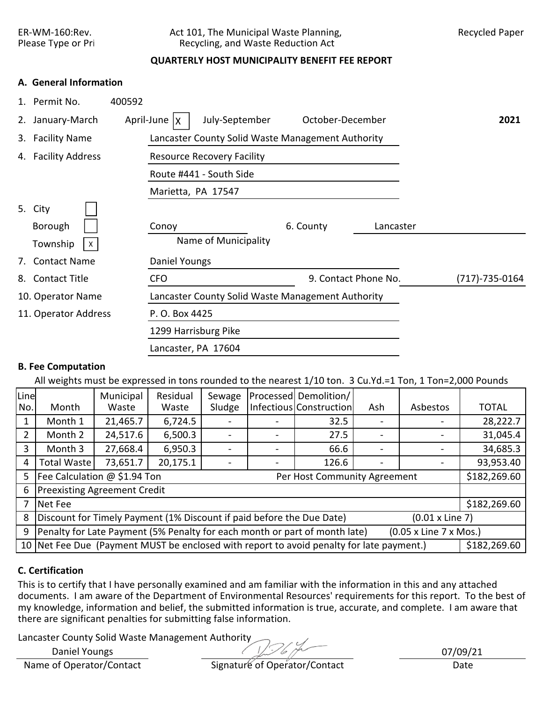## ER-WM-160:Rev. Act 101, The Municipal Waste Planning, Recycled Paper<br>Please Type or Pri Recycling, and Waste Reduction Act Recycling, and Waste Reduction Act

## **QUARTERLY HOST MUNICIPALITY BENEFIT FEE REPORT**

## **A. General Information**

| $1_{\cdot}$ | Permit No.           | 400592                                            |                      |                |
|-------------|----------------------|---------------------------------------------------|----------------------|----------------|
| 2.          | January-March        | July-September<br>April-June $\vert x \vert$      | October-December     | 2021           |
| 3.          | <b>Facility Name</b> | Lancaster County Solid Waste Management Authority |                      |                |
|             | 4. Facility Address  | <b>Resource Recovery Facility</b>                 |                      |                |
|             |                      | Route #441 - South Side                           |                      |                |
|             |                      | Marietta, PA 17547                                |                      |                |
|             | 5. City              |                                                   |                      |                |
|             | Borough              | 6. County<br>Conoy                                | Lancaster            |                |
|             | Township<br>X        | Name of Municipality                              |                      |                |
| 7.          | <b>Contact Name</b>  | Daniel Youngs                                     |                      |                |
| 8.          | <b>Contact Title</b> | <b>CFO</b>                                        | 9. Contact Phone No. | (717)-735-0164 |
|             | 10. Operator Name    | Lancaster County Solid Waste Management Authority |                      |                |
|             | 11. Operator Address | P. O. Box 4425                                    |                      |                |
|             |                      | 1299 Harrisburg Pike                              |                      |                |
|             |                      | Lancaster, PA 17604                               |                      |                |

## **B. Fee Computation**

All weights must be expressed in tons rounded to the nearest 1/10 ton. 3 Cu.Yd.=1 Ton, 1 Ton=2,000 Pounds

| Line           |                                                                                                          | Municipal | Residual | Sewage |  | Processed Demolition/   |                          |          |              |  |  |
|----------------|----------------------------------------------------------------------------------------------------------|-----------|----------|--------|--|-------------------------|--------------------------|----------|--------------|--|--|
| No.            | Month                                                                                                    | Waste     | Waste    | Sludge |  | Infectious Construction | Ash                      | Asbestos | <b>TOTAL</b> |  |  |
|                | Month 1                                                                                                  | 21,465.7  | 6,724.5  |        |  | 32.5                    |                          |          | 28,222.7     |  |  |
| $\overline{2}$ | Month 2                                                                                                  | 24,517.6  | 6,500.3  |        |  | 27.5                    |                          |          | 31,045.4     |  |  |
| 3              | Month 3                                                                                                  | 27,668.4  | 6,950.3  |        |  | 66.6                    | $\overline{\phantom{0}}$ |          | 34,685.3     |  |  |
| 4              | <b>Total Waste</b>                                                                                       | 73,651.7  | 20,175.1 |        |  | 126.6                   |                          |          | 93,953.40    |  |  |
| 5              | Fee Calculation @ \$1.94 Ton<br>\$182,269.60<br>Per Host Community Agreement                             |           |          |        |  |                         |                          |          |              |  |  |
| 6              | <b>Preexisting Agreement Credit</b>                                                                      |           |          |        |  |                         |                          |          |              |  |  |
| 7              | Net Fee                                                                                                  |           |          |        |  |                         |                          |          | \$182,269.60 |  |  |
| 8              | Discount for Timely Payment (1% Discount if paid before the Due Date)<br>$(0.01 \times$ Line 7)          |           |          |        |  |                         |                          |          |              |  |  |
| 9              | Penalty for Late Payment (5% Penalty for each month or part of month late)<br>(0.05 x Line 7 x Mos.)     |           |          |        |  |                         |                          |          |              |  |  |
|                | 10 Net Fee Due (Payment MUST be enclosed with report to avoid penalty for late payment.)<br>\$182,269.60 |           |          |        |  |                         |                          |          |              |  |  |

## **C. Certification**

This is to certify that I have personally examined and am familiar with the information in this and any attached documents. I am aware of the Department of Environmental Resources' requirements for this report. To the best of my knowledge, information and belief, the submitted information is true, accurate, and complete. I am aware that there are significant penalties for submitting false information.

Lancaster County Solid Waste Management Authority

Daniel Youngs

Name of Operator/Contact Signature of Operator/Contact Date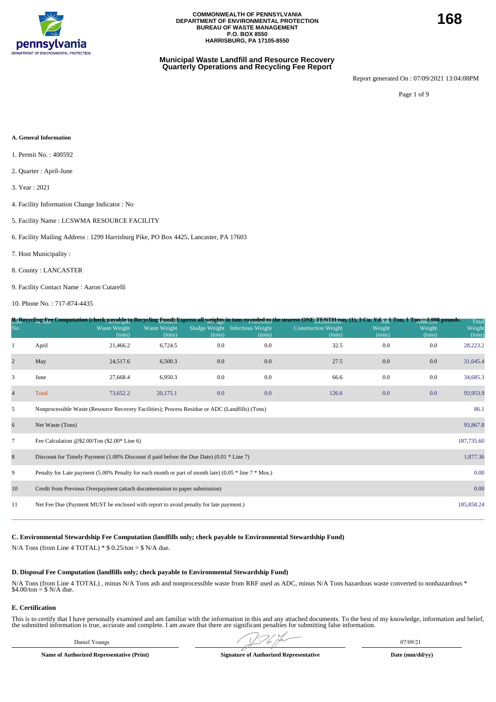

#### **Municipal Waste Landfill and Resource Recovery Quarterly Operations and Recycling Fee Report**

Report generated On : 07/09/2021 13:04:08PM

Page 1 of 9

#### **A. General Information**

- 1. Permit No. : 400592
- 2. Quarter : April-June
- 3. Year : 2021
- 4. Facility Information Change Indicator : No
- 5. Facility Name : LCSWMA RESOURCE FACILITY
- 6. Facility Mailing Address : 1299 Harrisburg Pike, PO Box 4425, Lancaster, PA 17603
- 7. Host Municipality :
- 8. County : LANCASTER
- 9. Facility Contact Name : Aaron Cutarelli

10. Phone No. : 717-874-4435

|                          |                                                                                                          |                               |                        |                         |                                    | B <sub>11</sub> Recycling Fee Computation (check payable to Recycling Eynd) Express all <u>weights</u> in tons rounded to nearest ONE <sub>T En</sub> y Haton, (1), 3 Cu. Yd <sub>AUI</sub> Ton, 1 Ton 52,000 pounds. |                  |                  | Total            |
|--------------------------|----------------------------------------------------------------------------------------------------------|-------------------------------|------------------------|-------------------------|------------------------------------|-----------------------------------------------------------------------------------------------------------------------------------------------------------------------------------------------------------------------|------------------|------------------|------------------|
| No.                      |                                                                                                          | <b>Waste Weight</b><br>(tons) | Waste Weight<br>(tons) | Sludge Weight<br>(tons) | <b>Infectious Weight</b><br>(tons) | Construction Weight<br>(tons)                                                                                                                                                                                         | Weight<br>(tons) | Weight<br>(tons) | Weight<br>(tons) |
|                          | April                                                                                                    | 21,466.2                      | 6,724.5                | 0.0                     | 0.0                                | 32.5                                                                                                                                                                                                                  | 0.0              | 0.0              | 28,223.2         |
| $\overline{c}$           | May                                                                                                      | 24,517.6                      | 6,500.3                | $0.0\,$                 | 0.0                                | 27.5                                                                                                                                                                                                                  | 0.0              | 0.0              | 31,045.4         |
| 3                        | June                                                                                                     | 27,668.4                      | 6,950.3                | 0.0                     | 0.0                                | 66.6                                                                                                                                                                                                                  | 0.0              | 0.0              | 34,685.3         |
| $\overline{\mathcal{L}}$ | Total                                                                                                    | 73,652.2                      | 20,175.1               | 0.0                     | 0.0                                | 126.6                                                                                                                                                                                                                 | 0.0              | 0.0              | 93,953.9         |
| 5                        | Nonprocessible Waste (Resource Recovery Facilities); Process Residue or ADC (Landfills) (Tons)           |                               |                        |                         |                                    |                                                                                                                                                                                                                       |                  |                  | 86.1             |
| 6                        | Net Waste (Tons)                                                                                         |                               |                        |                         |                                    |                                                                                                                                                                                                                       |                  |                  | 93,867.8         |
| $\tau$                   | Fee Calculation @\$2.00/Ton $(\$2.00*$ Line 6)                                                           |                               |                        |                         |                                    |                                                                                                                                                                                                                       |                  |                  | 187,735.60       |
| 8                        | Discount for Timely Payment (1.00% Discount if paid before the Due Date) (0.01 $*$ Line 7)               |                               |                        |                         |                                    |                                                                                                                                                                                                                       |                  |                  | 1,877.36         |
| 9                        | Penalty for Late payment (5.00% Penalty for each month or part of month late) (0.05 $*$ line 7 $*$ Mos.) |                               |                        |                         |                                    |                                                                                                                                                                                                                       |                  |                  | 0.00             |
| 10                       | Credit from Previous Overpayment (attach documentation to paper submission)                              |                               |                        |                         |                                    |                                                                                                                                                                                                                       |                  |                  | 0.00             |
| 11                       | Net Fee Due (Payment MUST be enclosed with report to avoid penalty for late payment.)                    |                               |                        |                         |                                    |                                                                                                                                                                                                                       |                  |                  | 185,858.24       |
|                          |                                                                                                          |                               |                        |                         |                                    |                                                                                                                                                                                                                       |                  |                  |                  |

**C. Environmental Stewardship Fee Computation (landfills only; check payable to Environmental Stewardship Fund)**

N/A Tons (from Line 4 TOTAL)  $*$  \$ 0.25/ton = \$ N/A due.

#### **D. Disposal Fee Computation (landfills only; check payable to Environmental Stewardship Fund)**

N/A Tons (from Line 4 TOTAL) , minus N/A Tons ash and nonprocessible waste from RRF used as ADC, minus N/A Tons hazardous waste converted to nonhazardous \* \$4.00/ton = \$ N/A due.

#### **E. Certification**

This is to certify that I have personally examined and am familiar with the information in this and any attached documents. To the best of my knowledge, information and belief, the submitted information is true, accurate and complete. I am aware that there are significant penalties for submitting false information.

Daniel Youngs 07/09/21  $\sqrt{2}$  07/09/21

**Name of Authorized Representative (Print) Signature of Authorized Representative Date (mm/dd/yy)**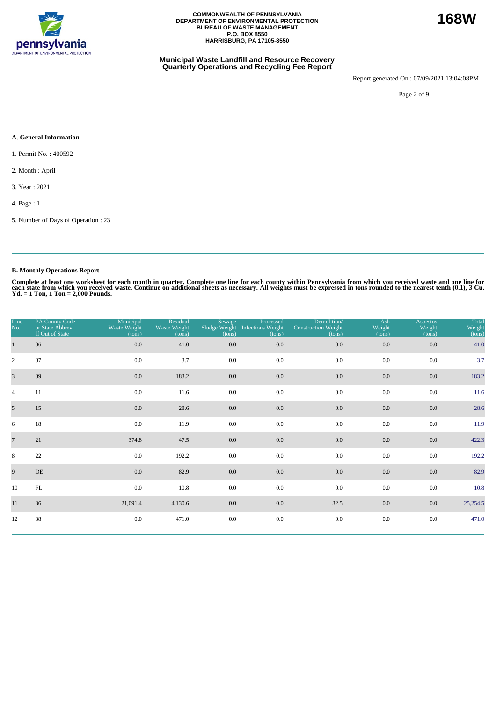

#### **Municipal Waste Landfill and Resource Recovery Quarterly Operations and Recycling Fee Report**

Report generated On : 07/09/2021 13:04:08PM

Page 2 of 9

#### **A. General Information**

1. Permit No. : 400592

2. Month : April

3. Year : 2021

4. Page : 1

5. Number of Days of Operation : 23

### **B. Monthly Operations Report**

Complete at least one worksheet for each month in quarter. Complete one line for each county within Pennsylvania from which you received waste and one line for<br>each state from which you received waste. Continue on addition

| Line<br>No.     | PA County Code<br>or State Abbrev.<br>If Out of State | Municipal<br>Waste Weight<br>(tons) | Residual<br>Waste Weight<br>(tons) | Sewage<br>(tons) | Processed<br>Sludge Weight Infectious Weight<br>(tons) | Demolition/<br><b>Construction Weight</b><br>(tons) | Ash<br>Weight<br>(tons) | <b>Asbestos</b><br>Weight<br>(tons) | Total<br>Weight<br>(tons) |
|-----------------|-------------------------------------------------------|-------------------------------------|------------------------------------|------------------|--------------------------------------------------------|-----------------------------------------------------|-------------------------|-------------------------------------|---------------------------|
| $\mathbf{1}$    | 06                                                    | 0.0                                 | 41.0                               | 0.0              | 0.0                                                    | 0.0                                                 | 0.0                     | 0.0                                 | 41.0                      |
| $\overline{2}$  | 07                                                    | 0.0                                 | 3.7                                | 0.0              | 0.0                                                    | 0.0                                                 | 0.0                     | 0.0                                 | 3.7                       |
| $\overline{3}$  | 09                                                    | 0.0                                 | 183.2                              | 0.0              | 0.0                                                    | 0.0                                                 | 0.0                     | 0.0                                 | 183.2                     |
| $\overline{4}$  | 11                                                    | 0.0                                 | 11.6                               | 0.0              | 0.0                                                    | 0.0                                                 | 0.0                     | 0.0                                 | 11.6                      |
| 5 <sup>5</sup>  | 15                                                    | 0.0                                 | 28.6                               | 0.0              | 0.0                                                    | 0.0                                                 | $0.0\,$                 | 0.0                                 | 28.6                      |
| 6               | 18                                                    | 0.0                                 | 11.9                               | 0.0              | 0.0                                                    | 0.0                                                 | 0.0                     | 0.0                                 | 11.9                      |
| $7\overline{ }$ | 21                                                    | 374.8                               | 47.5                               | 0.0              | 0.0                                                    | 0.0                                                 | 0.0                     | 0.0                                 | 422.3                     |
| 8               | 22                                                    | $0.0\,$                             | 192.2                              | 0.0              | 0.0                                                    | 0.0                                                 | 0.0                     | 0.0                                 | 192.2                     |
| 9               | DE                                                    | 0.0                                 | 82.9                               | 0.0              | 0.0                                                    | $0.0\,$                                             | 0.0                     | 0.0                                 | 82.9                      |
| 10              | $\mathbf{FL}$                                         | $0.0\,$                             | 10.8                               | 0.0              | 0.0                                                    | 0.0                                                 | $0.0\,$                 | 0.0                                 | 10.8                      |
| 11              | 36                                                    | 21,091.4                            | 4,130.6                            | 0.0              | 0.0                                                    | 32.5                                                | 0.0                     | 0.0                                 | 25,254.5                  |
| 12              | 38                                                    | 0.0                                 | 471.0                              | $0.0\,$          | $0.0\,$                                                | $0.0\,$                                             | 0.0                     | 0.0                                 | 471.0                     |

**168W**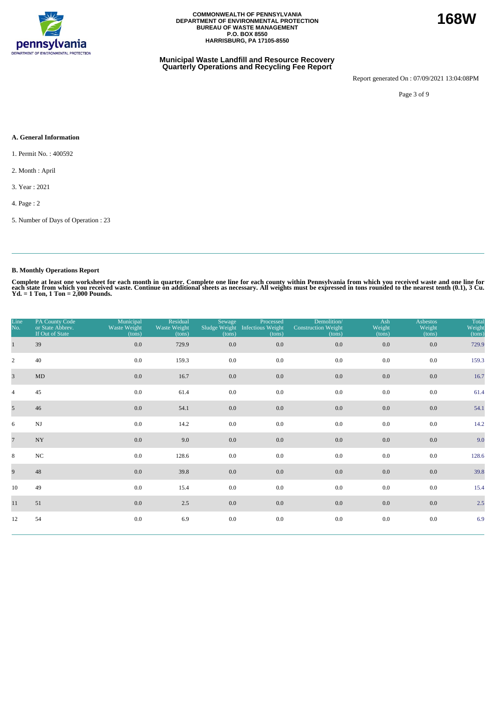

#### **Municipal Waste Landfill and Resource Recovery Quarterly Operations and Recycling Fee Report**

Report generated On : 07/09/2021 13:04:08PM

Page 3 of 9

#### **A. General Information**

1. Permit No. : 400592

- 2. Month : April
- 3. Year : 2021

4. Page : 2

5. Number of Days of Operation : 23

### **B. Monthly Operations Report**

| Line<br>No.     | PA County Code<br>or State Abbrev.<br>If Out of State | Municipal<br>Waste Weight<br>(tons) | Residual<br>Waste Weight<br>(tons) | Sewage<br>(tons) | Processed<br>Sludge Weight Infectious Weight<br>(tons) | Demolition/<br><b>Construction Weight</b><br>(tons) | Ash<br>Weight<br>(tons) | <b>Asbestos</b><br>Weight<br>(tons) | Total<br>Weight<br>(tons) |
|-----------------|-------------------------------------------------------|-------------------------------------|------------------------------------|------------------|--------------------------------------------------------|-----------------------------------------------------|-------------------------|-------------------------------------|---------------------------|
| $\mathbf{1}$    | 39                                                    | $0.0\,$                             | 729.9                              | 0.0              | 0.0                                                    | $0.0\,$                                             | 0.0                     | 0.0                                 | 729.9                     |
| $\overline{2}$  | 40                                                    | 0.0                                 | 159.3                              | 0.0              | 0.0                                                    | 0.0                                                 | 0.0                     | 0.0                                 | 159.3                     |
| $\overline{3}$  | MD                                                    | 0.0                                 | 16.7                               | 0.0              | 0.0                                                    | $0.0\,$                                             | 0.0                     | 0.0                                 | 16.7                      |
| $\overline{4}$  | 45                                                    | $0.0\,$                             | 61.4                               | 0.0              | 0.0                                                    | 0.0                                                 | 0.0                     | 0.0                                 | 61.4                      |
| 5 <sup>5</sup>  | 46                                                    | 0.0                                 | 54.1                               | $0.0\,$          | $0.0\,$                                                | $0.0\,$                                             | $0.0\,$                 | 0.0                                 | 54.1                      |
| 6               | $\mathbf{N}\mathbf{J}$                                | 0.0                                 | 14.2                               | 0.0              | 0.0                                                    | 0.0                                                 | 0.0                     | 0.0                                 | 14.2                      |
| $7\overline{ }$ | $\ensuremath{\text{NY}}$                              | 0.0                                 | 9.0                                | $0.0\,$          | 0.0                                                    | $0.0\,$                                             | 0.0                     | 0.0                                 | 9.0                       |
| 8               | $_{\mathrm{NC}}$                                      | 0.0                                 | 128.6                              | 0.0              | 0.0                                                    | 0.0                                                 | 0.0                     | 0.0                                 | 128.6                     |
| 9               | 48                                                    | 0.0                                 | 39.8                               | $0.0\,$          | 0.0                                                    | $0.0\,$                                             | 0.0                     | 0.0                                 | 39.8                      |
| 10              | 49                                                    | 0.0                                 | 15.4                               | 0.0              | 0.0                                                    | 0.0                                                 | 0.0                     | 0.0                                 | 15.4                      |
| 11              | 51                                                    | 0.0                                 | 2.5                                | $0.0\,$          | 0.0                                                    | $0.0\,$                                             | 0.0                     | 0.0                                 | 2.5                       |
| 12              | 54                                                    | 0.0                                 | 6.9                                | $0.0\,$          | $0.0\,$                                                | 0.0                                                 | $0.0\,$                 | 0.0                                 | 6.9                       |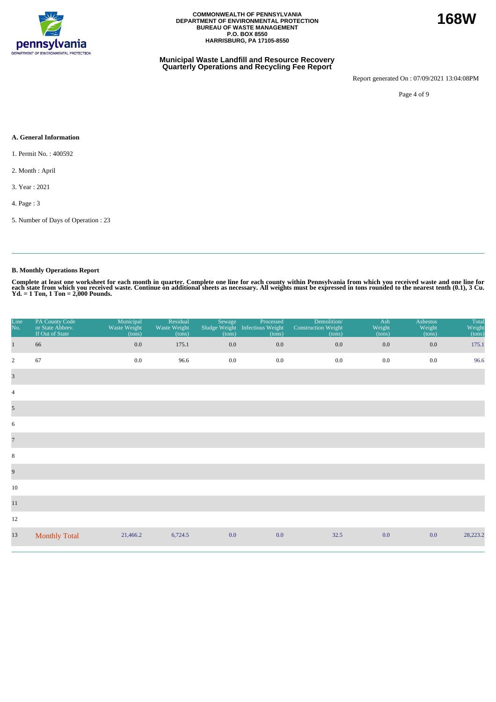

#### **Municipal Waste Landfill and Resource Recovery Quarterly Operations and Recycling Fee Report**

Report generated On : 07/09/2021 13:04:08PM

Page 4 of 9

#### **A. General Information**

1. Permit No. : 400592

2. Month : April

3. Year : 2021

4. Page : 3

5. Number of Days of Operation : 23

### **B. Monthly Operations Report**

| Line<br>No.                      | PA County Code<br>or State Abbrev.<br>If Out of State | Municipal<br>Waste Weight<br>(tons) | Residual<br>Waste Weight<br>(tons) | Sewage<br>(tons) | Processed<br>Sludge Weight Infectious Weight<br>(tons) | Demolition/<br><b>Construction Weight</b><br>(tons) | Ash<br>Weight<br>(tons) | <b>Asbestos</b><br>Weight<br>(tons) | Total<br>Weight<br>(tons) |
|----------------------------------|-------------------------------------------------------|-------------------------------------|------------------------------------|------------------|--------------------------------------------------------|-----------------------------------------------------|-------------------------|-------------------------------------|---------------------------|
| $\mathbf{1}$                     | 66                                                    | $0.0\,$                             | 175.1                              | $0.0\,$          | $0.0\,$                                                | 0.0                                                 | $0.0\,$                 | 0.0                                 | 175.1                     |
| $\overline{2}$                   | 67                                                    | $0.0\,$                             | 96.6                               | 0.0              | $0.0\,$                                                | 0.0                                                 | 0.0                     | 0.0                                 | 96.6                      |
| $\overline{\mathbf{3}}$          |                                                       |                                     |                                    |                  |                                                        |                                                     |                         |                                     |                           |
| $\overline{4}$                   |                                                       |                                     |                                    |                  |                                                        |                                                     |                         |                                     |                           |
| $\mathfrak{S}$                   |                                                       |                                     |                                    |                  |                                                        |                                                     |                         |                                     |                           |
| 6                                |                                                       |                                     |                                    |                  |                                                        |                                                     |                         |                                     |                           |
| $\begin{array}{c} 7 \end{array}$ |                                                       |                                     |                                    |                  |                                                        |                                                     |                         |                                     |                           |
| $\,8\,$                          |                                                       |                                     |                                    |                  |                                                        |                                                     |                         |                                     |                           |
| $\overline{9}$                   |                                                       |                                     |                                    |                  |                                                        |                                                     |                         |                                     |                           |
| 10                               |                                                       |                                     |                                    |                  |                                                        |                                                     |                         |                                     |                           |
| 11                               |                                                       |                                     |                                    |                  |                                                        |                                                     |                         |                                     |                           |
| 12                               |                                                       |                                     |                                    |                  |                                                        |                                                     |                         |                                     |                           |
| 13                               | <b>Monthly Total</b>                                  | 21,466.2                            | 6,724.5                            | 0.0              | 0.0                                                    | 32.5                                                | 0.0                     | 0.0                                 | 28,223.2                  |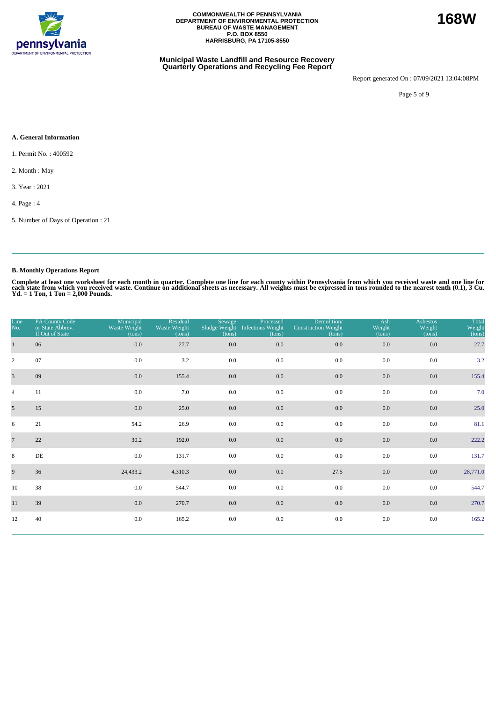

#### **Municipal Waste Landfill and Resource Recovery Quarterly Operations and Recycling Fee Report**

Report generated On : 07/09/2021 13:04:08PM

**168W**

Page 5 of 9

#### **A. General Information**

1. Permit No. : 400592

- 2. Month : May
- 3. Year : 2021
- 4. Page : 4
- 5. Number of Days of Operation : 21

### **B. Monthly Operations Report**

| Line<br>No.     | PA County Code<br>or State Abbrev.<br>If Out of State | Municipal<br>Waste Weight<br>(tons) | Residual<br>Waste Weight<br>(tons) | Sewage<br>Sludge Weight<br>(tons) | Processed<br><b>Infectious Weight</b><br>(tons) | Demolition/<br><b>Construction Weight</b><br>(tons) | Ash<br>Weight<br>(tons) | <b>Asbestos</b><br>Weight<br>(tons) | Total<br>Weight<br>(tons) |
|-----------------|-------------------------------------------------------|-------------------------------------|------------------------------------|-----------------------------------|-------------------------------------------------|-----------------------------------------------------|-------------------------|-------------------------------------|---------------------------|
| $\mathbf{1}$    | 06                                                    | $0.0\,$                             | 27.7                               | 0.0                               | 0.0                                             | 0.0                                                 | $0.0\,$                 | 0.0                                 | 27.7                      |
| $\overline{2}$  | 07                                                    | 0.0                                 | 3.2                                | 0.0                               | 0.0                                             | 0.0                                                 | 0.0                     | 0.0                                 | 3.2                       |
| $\overline{3}$  | 09                                                    | 0.0                                 | 155.4                              | 0.0                               | 0.0                                             | 0.0                                                 | 0.0                     | 0.0                                 | 155.4                     |
| $\overline{4}$  | 11                                                    | $0.0\,$                             | 7.0                                | 0.0                               | 0.0                                             | 0.0                                                 | 0.0                     | 0.0                                 | 7.0                       |
| $5\overline{)}$ | 15                                                    | 0.0                                 | 25.0                               | $0.0\,$                           | $0.0\,$                                         | 0.0                                                 | $0.0\,$                 | 0.0                                 | 25.0                      |
| 6               | 21                                                    | 54.2                                | 26.9                               | 0.0                               | 0.0                                             | 0.0                                                 | 0.0                     | 0.0                                 | 81.1                      |
| $\overline{7}$  | 22                                                    | 30.2                                | 192.0                              | $0.0\,$                           | 0.0                                             | 0.0                                                 | 0.0                     | 0.0                                 | 222.2                     |
| 8               | $\rm{DE}$                                             | 0.0                                 | 131.7                              | 0.0                               | 0.0                                             | 0.0                                                 | 0.0                     | 0.0                                 | 131.7                     |
| 9               | 36                                                    | 24,433.2                            | 4,310.3                            | 0.0                               | 0.0                                             | 27.5                                                | 0.0                     | 0.0                                 | 28,771.0                  |
| 10              | 38                                                    | $0.0\,$                             | 544.7                              | 0.0                               | 0.0                                             | 0.0                                                 | 0.0                     | 0.0                                 | 544.7                     |
| 11              | 39                                                    | 0.0                                 | 270.7                              | 0.0                               | 0.0                                             | $0.0\,$                                             | 0.0                     | 0.0                                 | 270.7                     |
| 12              | 40                                                    | 0.0                                 | 165.2                              | $0.0\,$                           | $0.0\,$                                         | 0.0                                                 | 0.0                     | 0.0                                 | 165.2                     |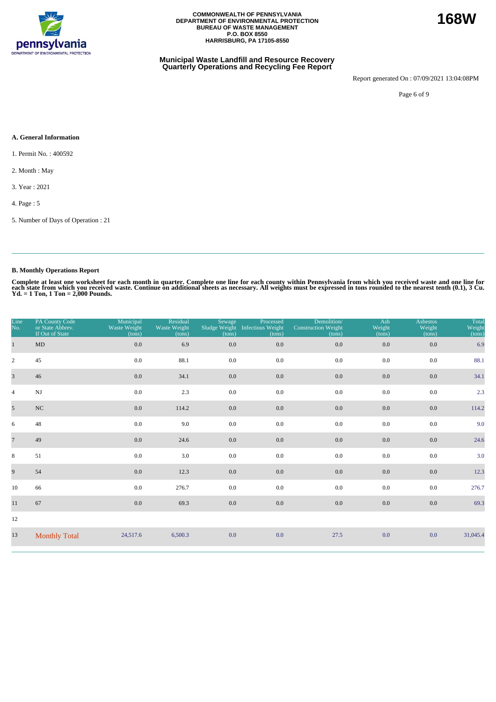

#### **Municipal Waste Landfill and Resource Recovery Quarterly Operations and Recycling Fee Report**

Report generated On : 07/09/2021 13:04:08PM

Page 6 of 9

#### **A. General Information**

1. Permit No. : 400592

2. Month : May

3. Year : 2021

4. Page : 5

5. Number of Days of Operation : 21

### **B. Monthly Operations Report**

| Line<br>No.             | PA County Code<br>or State Abbrev.<br>If Out of State | Municipal<br>Waste Weight<br>(tons) | Residual<br>Waste Weight<br>(tons) | Sewage<br>Sludge Weight<br>(tons) | Processed<br><b>Infectious Weight</b><br>(tons) | Demolition/<br><b>Construction Weight</b><br>(tons) | Ash<br>Weight<br>(tons) | <b>Asbestos</b><br>Weight<br>(tons) | Total<br>Weight<br>(tons) |
|-------------------------|-------------------------------------------------------|-------------------------------------|------------------------------------|-----------------------------------|-------------------------------------------------|-----------------------------------------------------|-------------------------|-------------------------------------|---------------------------|
| $\mathbf{1}$            | MD                                                    | 0.0                                 | 6.9                                | 0.0                               | 0.0                                             | 0.0                                                 | 0.0                     | 0.0                                 | 6.9                       |
| $\overline{2}$          | 45                                                    | 0.0                                 | 88.1                               | 0.0                               | 0.0                                             | 0.0                                                 | 0.0                     | 0.0                                 | 88.1                      |
| $\overline{\mathbf{3}}$ | 46                                                    | 0.0                                 | 34.1                               | $0.0\,$                           | $0.0\,$                                         | 0.0                                                 | 0.0                     | $0.0\,$                             | 34.1                      |
| $\overline{4}$          | $_{\rm NJ}$                                           | 0.0                                 | 2.3                                | 0.0                               | 0.0                                             | 0.0                                                 | 0.0                     | 0.0                                 | 2.3                       |
| $\overline{5}$          | $_{\mathrm{NC}}$                                      | 0.0                                 | 114.2                              | $0.0\,$                           | $0.0\,$                                         | 0.0                                                 | $0.0\,$                 | $0.0\,$                             | 114.2                     |
| 6                       | 48                                                    | 0.0                                 | 9.0                                | 0.0                               | 0.0                                             | 0.0                                                 | 0.0                     | 0.0                                 | 9.0                       |
| $\overline{7}$          | 49                                                    | 0.0                                 | 24.6                               | 0.0                               | $0.0\,$                                         | 0.0                                                 | 0.0                     | 0.0                                 | 24.6                      |
| 8                       | 51                                                    | 0.0                                 | 3.0                                | 0.0                               | 0.0                                             | 0.0                                                 | 0.0                     | 0.0                                 | 3.0                       |
| 9                       | 54                                                    | 0.0                                 | 12.3                               | $0.0\,$                           | $0.0\,$                                         | $0.0\,$                                             | 0.0                     | $0.0\,$                             | 12.3                      |
| 10                      | 66                                                    | 0.0                                 | 276.7                              | 0.0                               | 0.0                                             | 0.0                                                 | 0.0                     | 0.0                                 | 276.7                     |
| $11\,$                  | 67                                                    | 0.0                                 | 69.3                               | 0.0                               | $0.0\,$                                         | 0.0                                                 | 0.0                     | 0.0                                 | 69.3                      |
| 12                      |                                                       |                                     |                                    |                                   |                                                 |                                                     |                         |                                     |                           |
| 13                      | <b>Monthly Total</b>                                  | 24,517.6                            | 6,500.3                            | 0.0                               | 0.0                                             | 27.5                                                | 0.0                     | 0.0                                 | 31,045.4                  |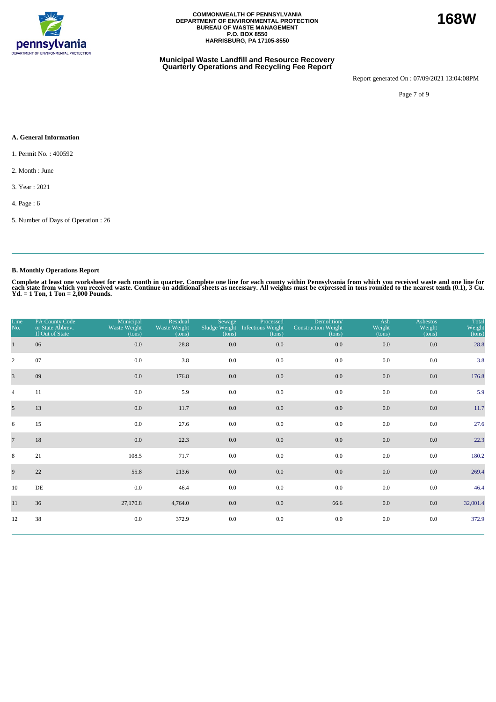

#### **Municipal Waste Landfill and Resource Recovery Quarterly Operations and Recycling Fee Report**

Report generated On : 07/09/2021 13:04:08PM

Page 7 of 9

#### **A. General Information**

1. Permit No. : 400592

2. Month : June

3. Year : 2021

4. Page : 6

5. Number of Days of Operation : 26

### **B. Monthly Operations Report**

Complete at least one worksheet for each month in quarter. Complete one line for each county within Pennsylvania from which you received waste and one line for<br>each state from which you received waste. Continue on addition

| Line<br>No.     | PA County Code<br>or State Abbrev.<br>If Out of State | Municipal<br>Waste Weight<br>(tons) | Residual<br>Waste Weight<br>(tons) | Sewage<br>Sludge Weight<br>(tons) | Processed<br><b>Infectious Weight</b><br>(tons) | Demolition/<br><b>Construction Weight</b><br>(tons) | Ash<br>Weight<br>(tons) | <b>Asbestos</b><br>Weight<br>(tons) | Total<br>Weight<br>(tons) |
|-----------------|-------------------------------------------------------|-------------------------------------|------------------------------------|-----------------------------------|-------------------------------------------------|-----------------------------------------------------|-------------------------|-------------------------------------|---------------------------|
| $\mathbf{1}$    | 06                                                    | $0.0\,$                             | 28.8                               | 0.0                               | 0.0                                             | 0.0                                                 | $0.0\,$                 | 0.0                                 | 28.8                      |
| $\overline{2}$  | 07                                                    | 0.0                                 | 3.8                                | 0.0                               | 0.0                                             | 0.0                                                 | 0.0                     | 0.0                                 | 3.8                       |
| $\overline{3}$  | 09                                                    | 0.0                                 | 176.8                              | 0.0                               | 0.0                                             | 0.0                                                 | 0.0                     | 0.0                                 | 176.8                     |
| $\overline{4}$  | 11                                                    | 0.0                                 | 5.9                                | 0.0                               | 0.0                                             | 0.0                                                 | $0.0\,$                 | 0.0                                 | 5.9                       |
| $5\overline{)}$ | 13                                                    | 0.0                                 | 11.7                               | 0.0                               | $0.0\,$                                         | 0.0                                                 | $0.0\,$                 | 0.0                                 | 11.7                      |
| 6               | 15                                                    | 0.0                                 | 27.6                               | 0.0                               | 0.0                                             | 0.0                                                 | 0.0                     | 0.0                                 | 27.6                      |
| $7\phantom{.0}$ | 18                                                    | 0.0                                 | 22.3                               | 0.0                               | 0.0                                             | 0.0                                                 | 0.0                     | 0.0                                 | 22.3                      |
| 8               | 21                                                    | 108.5                               | 71.7                               | 0.0                               | 0.0                                             | 0.0                                                 | 0.0                     | 0.0                                 | 180.2                     |
| 9               | 22                                                    | 55.8                                | 213.6                              | 0.0                               | 0.0                                             | 0.0                                                 | 0.0                     | 0.0                                 | 269.4                     |
| 10              | DE                                                    | $0.0\,$                             | 46.4                               | 0.0                               | 0.0                                             | 0.0                                                 | $0.0\,$                 | 0.0                                 | 46.4                      |
| 11              | 36                                                    | 27,170.8                            | 4,764.0                            | 0.0                               | 0.0                                             | 66.6                                                | 0.0                     | 0.0                                 | 32,001.4                  |
| 12              | 38                                                    | 0.0                                 | 372.9                              | $0.0\,$                           | $0.0\,$                                         | 0.0                                                 | 0.0                     | 0.0                                 | 372.9                     |

**168W**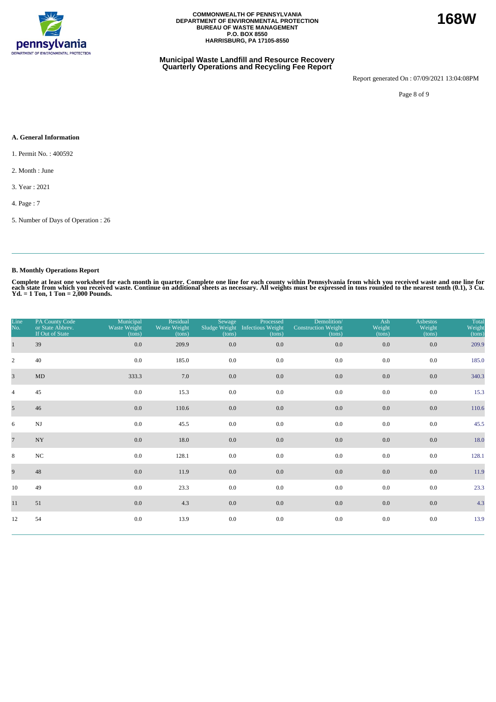

#### **Municipal Waste Landfill and Resource Recovery Quarterly Operations and Recycling Fee Report**

Report generated On : 07/09/2021 13:04:08PM

Page 8 of 9

#### **A. General Information**

1. Permit No. : 400592

2. Month : June

3. Year : 2021

4. Page : 7

5. Number of Days of Operation : 26

### **B. Monthly Operations Report**

| Line<br>No.    | PA County Code<br>or State Abbrev.<br>If Out of State | Municipal<br>Waste Weight<br>(tons) | Residual<br>Waste Weight<br>(tons) | Sewage<br>(tons) | Processed<br>Sludge Weight Infectious Weight<br>(tons) | Demolition/<br><b>Construction Weight</b><br>(tons) | Ash<br>Weight<br>(tons) | <b>Asbestos</b><br>Weight<br>(tons) | Total<br>Weight<br>(tons) |
|----------------|-------------------------------------------------------|-------------------------------------|------------------------------------|------------------|--------------------------------------------------------|-----------------------------------------------------|-------------------------|-------------------------------------|---------------------------|
| $\mathbf{1}$   | 39                                                    | $0.0\,$                             | 209.9                              | $0.0\,$          | 0.0                                                    | $0.0\,$                                             | 0.0                     | $0.0\,$                             | 209.9                     |
| $\overline{2}$ | 40                                                    | 0.0                                 | 185.0                              | 0.0              | 0.0                                                    | 0.0                                                 | 0.0                     | 0.0                                 | 185.0                     |
| $\overline{3}$ | $\mbox{MD}$                                           | 333.3                               | 7.0                                | 0.0              | 0.0                                                    | 0.0                                                 | 0.0                     | 0.0                                 | 340.3                     |
| $\overline{4}$ | 45                                                    | 0.0                                 | 15.3                               | 0.0              | 0.0                                                    | 0.0                                                 | 0.0                     | 0.0                                 | 15.3                      |
| 5 <sup>5</sup> | 46                                                    | 0.0                                 | 110.6                              | $0.0\,$          | 0.0                                                    | 0.0                                                 | 0.0                     | 0.0                                 | 110.6                     |
| 6              | $\mathbf{N}\mathbf{J}$                                | 0.0                                 | 45.5                               | 0.0              | 0.0                                                    | 0.0                                                 | 0.0                     | 0.0                                 | 45.5                      |
| $\overline{7}$ | $\ensuremath{\text{NY}}$                              | $0.0\,$                             | 18.0                               | $0.0\,$          | 0.0                                                    | $0.0\,$                                             | 0.0                     | $0.0\,$                             | 18.0                      |
| 8              | $_{\mathrm{NC}}$                                      | 0.0                                 | 128.1                              | 0.0              | 0.0                                                    | 0.0                                                 | 0.0                     | 0.0                                 | 128.1                     |
| 9              | 48                                                    | 0.0                                 | 11.9                               | $0.0\,$          | 0.0                                                    | 0.0                                                 | 0.0                     | 0.0                                 | 11.9                      |
| 10             | 49                                                    | 0.0                                 | 23.3                               | 0.0              | 0.0                                                    | 0.0                                                 | 0.0                     | 0.0                                 | 23.3                      |
| 11             | 51                                                    | 0.0                                 | 4.3                                | $0.0\,$          | 0.0                                                    | $0.0\,$                                             | 0.0                     | 0.0                                 | 4.3                       |
| 12             | 54                                                    | $0.0\,$                             | 13.9                               | 0.0              | $0.0\,$                                                | $0.0\,$                                             | 0.0                     | $0.0\,$                             | 13.9                      |